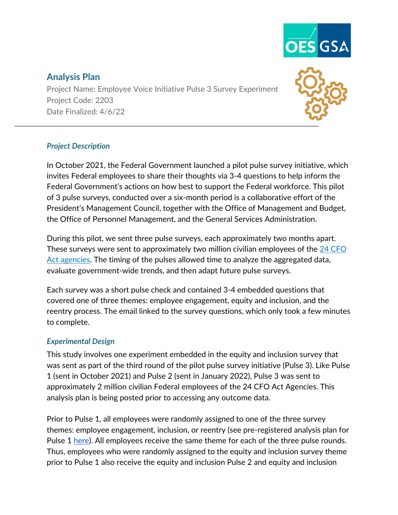

# **Analysis Plan**

Project Name: Employee Voice Initiative Pulse 3 Survey Experiment Project Code: 2203 Date Finalized: 4/6/22



# *Project Description*

In October 2021, the Federal Government launched a pilot pulse survey initiative, which invites Federal employees to share their thoughts via 3-4 questions to help inform the Federal Government's actions on how best to support the Federal workforce. This pilot of 3 pulse surveys, conducted over a six-month period is a collaborative effort of the President's Management Council, together with the Office of Management and Budget, the Office of Personnel Management, and the General Services Administration.

During this pilot, we sent three pulse surveys, each approximately two months apart. These surveys were sent to approximately two million civilian employees of the [24 CFO](https://www.govinfo.gov/content/pkg/USCODE-2011-title31/html/USCODE-2011-title31-subtitleI-chap9-sec901.htm)  [Act agencies.](https://www.govinfo.gov/content/pkg/USCODE-2011-title31/html/USCODE-2011-title31-subtitleI-chap9-sec901.htm) The timing of the pulses allowed time to analyze the aggregated data, evaluate government-wide trends, and then adapt future pulse surveys.

Each survey was a short pulse check and contained 3-4 embedded questions that covered one of three themes: employee engagement, equity and inclusion, and the reentry process. The email linked to the survey questions, which only took a few minutes to complete.

## *Experimental Design*

This study involves one experiment embedded in the equity and inclusion survey that was sent as part of the third round of the pilot pulse survey initiative (Pulse 3). Like Pulse 1 (sent in October 2021) and Pulse 2 (sent in January 2022), Pulse 3 was sent to approximately 2 million civilian Federal employees of the 24 CFO Act Agencies. This analysis plan is being posted prior to accessing any outcome data.

Prior to Pulse 1, all employees were randomly assigned to one of the three survey themes: employee engagement, inclusion, or reentry (see pre-registered analysis plan for Pulse 1 [here\)](https://github.com/gsa-oes/office-of-evaluation-sciences/blob/master/assets/analysis/2203-3-analysis-plan.pdf). All employees receive the same theme for each of the three pulse rounds. Thus, employees who were randomly assigned to the equity and inclusion survey theme prior to Pulse 1 also receive the equity and inclusion Pulse 2 and equity and inclusion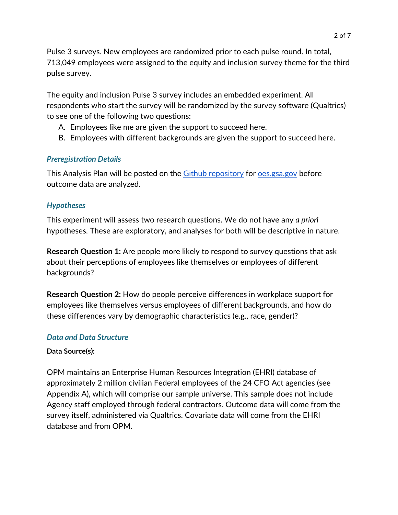Pulse 3 surveys. New employees are randomized prior to each pulse round. In total, 713,049 employees were assigned to the equity and inclusion survey theme for the third pulse survey.

The equity and inclusion Pulse 3 survey includes an embedded experiment. All respondents who start the survey will be randomized by the survey software (Qualtrics) to see one of the following two questions:

- A. Employees like me are given the support to succeed here.
- B. Employees with different backgrounds are given the support to succeed here.

# *Preregistration Details*

This Analysis Plan will be posted on the [Github repository](https://github.com/gsa-oes/office-of-evaluation-sciences) for <u>oes.gsa.gov</u> before outcome data are analyzed.

## *Hypotheses*

This experiment will assess two research questions. We do not have any *a priori* hypotheses. These are exploratory, and analyses for both will be descriptive in nature.

**Research Question 1:** Are people more likely to respond to survey questions that ask about their perceptions of employees like themselves or employees of different backgrounds?

**Research Question 2:** How do people perceive differences in workplace support for employees like themselves versus employees of different backgrounds, and how do these differences vary by demographic characteristics (e.g., race, gender)?

## *Data and Data Structure*

## **Data Source(s):**

OPM maintains an Enterprise Human Resources Integration (EHRI) database of approximately 2 million civilian Federal employees of the 24 CFO Act agencies (see Appendix A), which will comprise our sample universe. This sample does not include Agency staff employed through federal contractors. Outcome data will come from the survey itself, administered via Qualtrics. Covariate data will come from the EHRI database and from OPM.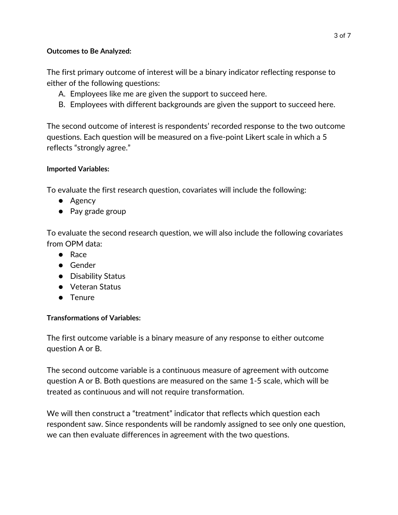#### **Outcomes to Be Analyzed:**

The first primary outcome of interest will be a binary indicator reflecting response to either of the following questions:

- A. Employees like me are given the support to succeed here.
- B. Employees with different backgrounds are given the support to succeed here.

The second outcome of interest is respondents' recorded response to the two outcome questions. Each question will be measured on a five-point Likert scale in which a 5 reflects "strongly agree."

#### **Imported Variables:**

To evaluate the first research question, covariates will include the following:

- Agency
- Pay grade group

To evaluate the second research question, we will also include the following covariates from OPM data:

- Race
- Gender
- Disability Status
- Veteran Status
- Tenure

## **Transformations of Variables:**

The first outcome variable is a binary measure of any response to either outcome question A or B.

The second outcome variable is a continuous measure of agreement with outcome question A or B. Both questions are measured on the same 1-5 scale, which will be treated as continuous and will not require transformation.

We will then construct a "treatment" indicator that reflects which question each respondent saw. Since respondents will be randomly assigned to see only one question, we can then evaluate differences in agreement with the two questions.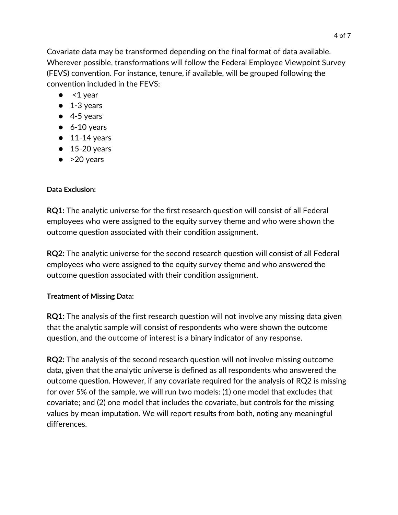Covariate data may be transformed depending on the final format of data available. Wherever possible, transformations will follow the Federal Employee Viewpoint Survey (FEVS) convention. For instance, tenure, if available, will be grouped following the convention included in the FEVS:

- $\bullet$  <1 year
- 1-3 years
- $\bullet$  4-5 years
- $\bullet$  6-10 years
- $\bullet$  11-14 years
- $\bullet$  15-20 years
- $\bullet$  >20 years

# **Data Exclusion:**

**RQ1:** The analytic universe for the first research question will consist of all Federal employees who were assigned to the equity survey theme and who were shown the outcome question associated with their condition assignment.

**RQ2:** The analytic universe for the second research question will consist of all Federal employees who were assigned to the equity survey theme and who answered the outcome question associated with their condition assignment.

## **Treatment of Missing Data:**

**RQ1:** The analysis of the first research question will not involve any missing data given that the analytic sample will consist of respondents who were shown the outcome question, and the outcome of interest is a binary indicator of any response.

**RQ2:** The analysis of the second research question will not involve missing outcome data, given that the analytic universe is defined as all respondents who answered the outcome question. However, if any covariate required for the analysis of RQ2 is missing for over 5% of the sample, we will run two models: (1) one model that excludes that covariate; and (2) one model that includes the covariate, but controls for the missing values by mean imputation. We will report results from both, noting any meaningful differences.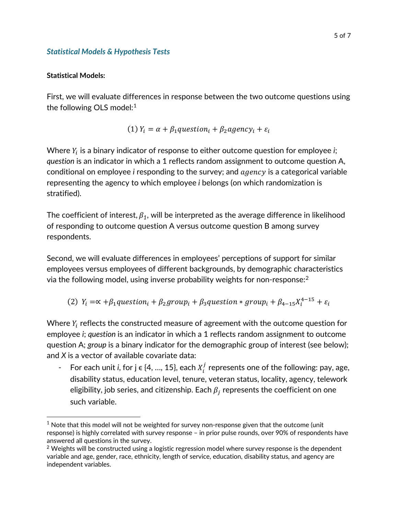#### *Statistical Models & Hypothesis Tests*

#### **Statistical Models:**

First, we will evaluate differences in response between the two outcome questions using the following OLS model: $1$ 

(1) 
$$
Y_i = \alpha + \beta_1
$$
 question<sub>i</sub> +  $\beta_2$  agency<sub>i</sub> +  $\varepsilon_i$ 

Where  $Y_i$  is a binary indicator of response to either outcome question for employee *i*; *question* is an indicator in which a 1 reflects random assignment to outcome question A, conditional on employee *i* responding to the survey; and  $agency$  is a categorical variable representing the agency to which employee *i* belongs (on which randomization is stratified).

The coefficient of interest,  $\beta_1$ , will be interpreted as the average difference in likelihood of responding to outcome question A versus outcome question B among survey respondents.

Second, we will evaluate differences in employees' perceptions of support for similar employees versus employees of different backgrounds, by demographic characteristics via the following model, using inverse probability weights for non-response: $2$ 

(2) 
$$
Y_i = \alpha + \beta_1
$$
 question<sub>i</sub> +  $\beta_2$  group<sub>i</sub> +  $\beta_3$  question \* group<sub>i</sub> +  $\beta_{4-15}X_i^{4-15}$  +  $\varepsilon_i$ 

Where  $Y_i$  reflects the constructed measure of agreement with the outcome question for employee *i*; *question* is an indicator in which a 1 reflects random assignment to outcome question A; *group* is a binary indicator for the demographic group of interest (see below); and *X* is a vector of available covariate data:

- For each unit *i*, for  $j \in \{4, ..., 15\}$ , each  $X_i^j$  represents one of the following: pay, age, disability status, education level, tenure, veteran status, locality, agency, telework eligibility, job series, and citizenship. Each  $\beta_i$  represents the coefficient on one such variable.

<span id="page-4-0"></span> $<sup>1</sup>$  Note that this model will not be weighted for survey non-response given that the outcome (unit</sup> response) is highly correlated with survey response – in prior pulse rounds, over 90% of respondents have answered all questions in the survey.

<span id="page-4-1"></span> $2$  Weights will be constructed using a logistic regression model where survey response is the dependent variable and age, gender, race, ethnicity, length of service, education, disability status, and agency are independent variables.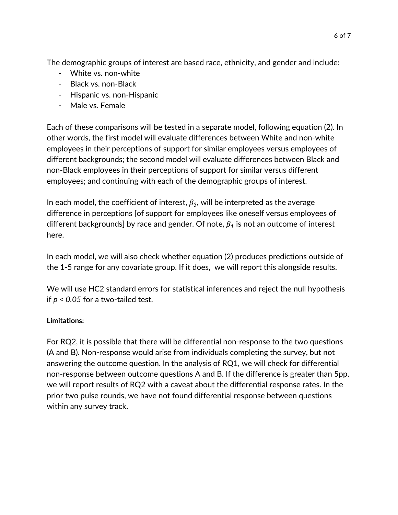The demographic groups of interest are based race, ethnicity, and gender and include:

- White vs. non-white
- Black vs. non-Black
- Hispanic vs. non-Hispanic
- Male vs. Female

Each of these comparisons will be tested in a separate model, following equation (2). In other words, the first model will evaluate differences between White and non-white employees in their perceptions of support for similar employees versus employees of different backgrounds; the second model will evaluate differences between Black and non-Black employees in their perceptions of support for similar versus different employees; and continuing with each of the demographic groups of interest.

In each model, the coefficient of interest,  $\beta_3$ , will be interpreted as the average difference in perceptions [of support for employees like oneself versus employees of different backgrounds] by race and gender. Of note,  $\beta_1$  is not an outcome of interest here.

In each model, we will also check whether equation (2) produces predictions outside of the 1-5 range for any covariate group. If it does, we will report this alongside results.

We will use HC2 standard errors for statistical inferences and reject the null hypothesis if *p < 0.05* for a two-tailed test.

# **Limitations:**

For RQ2, it is possible that there will be differential non-response to the two questions (A and B). Non-response would arise from individuals completing the survey, but not answering the outcome question. In the analysis of RQ1, we will check for differential non-response between outcome questions A and B. If the difference is greater than 5pp, we will report results of RQ2 with a caveat about the differential response rates. In the prior two pulse rounds, we have not found differential response between questions within any survey track.